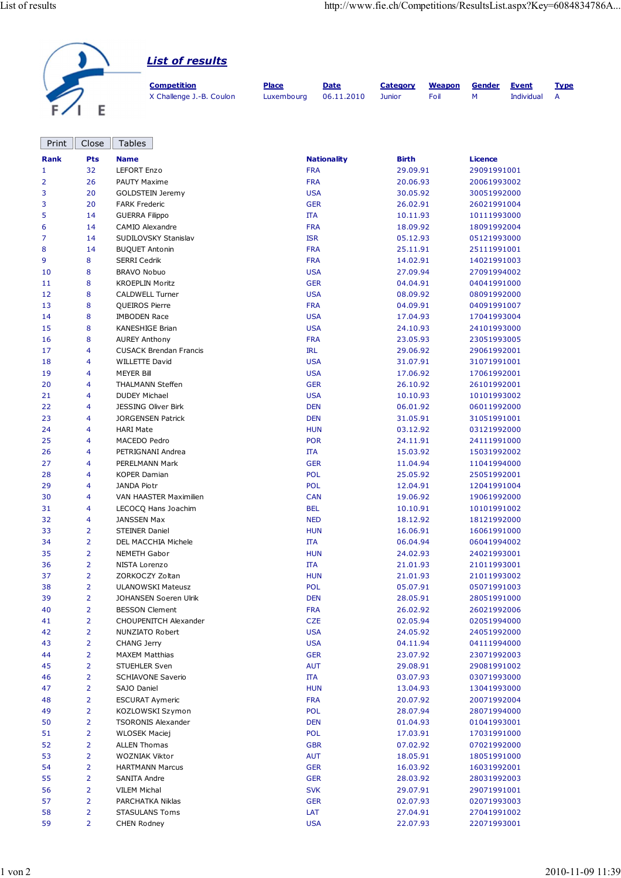| <b>List of results</b>   |              |             |                 |               |               |              |             |
|--------------------------|--------------|-------------|-----------------|---------------|---------------|--------------|-------------|
| <b>Competition</b>       | <b>Place</b> | <b>Date</b> | <b>Category</b> | <b>Weapon</b> | <b>Gender</b> | <b>Event</b> | <b>Type</b> |
| X Challenge J.-B. Coulon | Luxembourg   | 06.11.2010  | <b>Junior</b>   | Foil          | м             | Individual   | A           |

| Print       | Close                   | <b>Tables</b>                 |                    |              |                |
|-------------|-------------------------|-------------------------------|--------------------|--------------|----------------|
| <b>Rank</b> | Pts                     | <b>Name</b>                   | <b>Nationality</b> | <b>Birth</b> | <b>Licence</b> |
| 1           | 32                      | LEFORT Enzo                   | <b>FRA</b>         | 29.09.91     | 29091991001    |
| 2           | 26                      | PAUTY Maxime                  | <b>FRA</b>         | 20.06.93     | 20061993002    |
| 3           | 20                      | <b>GOLDSTEIN Jeremy</b>       | <b>USA</b>         | 30.05.92     | 30051992000    |
| 3           | 20                      | <b>FARK Frederic</b>          | <b>GER</b>         | 26.02.91     | 26021991004    |
| 5           | 14                      | <b>GUERRA Filippo</b>         | <b>ITA</b>         | 10.11.93     | 10111993000    |
| 6           | 14                      | CAMIO Alexandre               | <b>FRA</b>         | 18.09.92     | 18091992004    |
| 7           | 14                      | SUDILOVSKY Stanislav          | <b>ISR</b>         | 05.12.93     | 05121993000    |
| 8           | 14                      | <b>BUQUET Antonin</b>         | <b>FRA</b>         | 25.11.91     | 25111991001    |
| 9           | 8                       | <b>SERRI Cedrik</b>           | <b>FRA</b>         | 14.02.91     | 14021991003    |
| 10          | 8                       | BRAVO Nobuo                   | <b>USA</b>         | 27.09.94     | 27091994002    |
| 11          | 8                       | <b>KROEPLIN Moritz</b>        | <b>GER</b>         | 04.04.91     | 04041991000    |
| 12          | 8                       | <b>CALDWELL Turner</b>        | <b>USA</b>         | 08.09.92     | 08091992000    |
| 13          | 8                       | QUEIROS Pierre                | <b>FRA</b>         | 04.09.91     | 04091991007    |
| 14          | 8                       | <b>IMBODEN Race</b>           | <b>USA</b>         | 17.04.93     | 17041993004    |
| 15          | 8                       | KANESHIGE Brian               | <b>USA</b>         | 24.10.93     | 24101993000    |
| 16          | 8                       | <b>AUREY Anthony</b>          | <b>FRA</b>         | 23.05.93     | 23051993005    |
| 17          | $\overline{\mathbf{4}}$ | <b>CUSACK Brendan Francis</b> | <b>IRL</b>         | 29.06.92     | 29061992001    |
| 18          | $\overline{\mathbf{4}}$ | <b>WILLETTE David</b>         | <b>USA</b>         | 31.07.91     | 31071991001    |
| 19          | $\overline{\mathbf{4}}$ | <b>MEYER Bill</b>             | <b>USA</b>         | 17.06.92     | 17061992001    |
| 20          | 4                       | THALMANN Steffen              | <b>GER</b>         | 26.10.92     | 26101992001    |
| 21          | $\overline{\mathbf{4}}$ | <b>DUDEY Michael</b>          | <b>USA</b>         | 10.10.93     | 10101993002    |
| 22          | $\overline{\mathbf{4}}$ | <b>JESSING Oliver Birk</b>    | <b>DEN</b>         | 06.01.92     | 06011992000    |
| 23          | $\overline{4}$          | <b>JORGENSEN Patrick</b>      | <b>DEN</b>         | 31.05.91     | 31051991001    |
| 24          | 4                       | <b>HARI Mate</b>              | <b>HUN</b>         | 03.12.92     | 03121992000    |
| 25          | 4                       | MACEDO Pedro                  | <b>POR</b>         | 24.11.91     | 24111991000    |
| 26          | $\overline{\mathbf{4}}$ | PETRIGNANI Andrea             | $\Pi A$            | 15.03.92     | 15031992002    |
| 27          | $\overline{\mathbf{4}}$ | PERELMANN Mark                | <b>GER</b>         | 11.04.94     | 11041994000    |
| 28          | $\overline{\mathbf{4}}$ | <b>KOPER Damian</b>           | <b>POL</b>         | 25.05.92     | 25051992001    |
| 29          | 4                       | <b>JANDA Piotr</b>            | <b>POL</b>         | 12.04.91     | 12041991004    |
| 30          | 4                       | VAN HAASTER Maximilien        | <b>CAN</b>         | 19.06.92     | 19061992000    |
| 31          | 4                       | LECOCQ Hans Joachim           | <b>BEL</b>         | 10.10.91     | 10101991002    |
| 32          | $\overline{\mathbf{4}}$ | <b>JANSSEN Max</b>            | <b>NED</b>         | 18.12.92     | 18121992000    |
| 33          | $\overline{2}$          | <b>STEINER Daniel</b>         | <b>HUN</b>         | 16.06.91     | 16061991000    |
| 34          | $\overline{2}$          | DEL MACCHIA Michele           | <b>ITA</b>         | 06.04.94     | 06041994002    |
| 35          | $\overline{2}$          | <b>NEMETH Gabor</b>           | <b>HUN</b>         | 24.02.93     | 24021993001    |
| 36          | $\overline{2}$          | NISTA Lorenzo                 | $\Pi A$            | 21.01.93     | 21011993001    |
| 37          | $\overline{2}$          | ZORKOCZY Zoltan               | <b>HUN</b>         | 21.01.93     | 21011993002    |
| 38          | $\overline{2}$          | <b>ULANOWSKI Mateusz</b>      | POL                | 05.07.91     | 05071991003    |
| 39          | 2                       | JOHANSEN Soeren Ulrik         | <b>DEN</b>         | 28.05.91     | 28051991000    |
| 40          | $\overline{2}$          | <b>BESSON Clement</b>         | <b>FRA</b>         | 26.02.92     | 26021992006    |
| 41          | $\overline{2}$          | CHOUPENITCH Alexander         | <b>CZE</b>         | 02.05.94     | 02051994000    |
| 42          | $\overline{2}$          | NUNZIATO Robert               | <b>USA</b>         | 24.05.92     | 24051992000    |
| 43          | $\overline{2}$          | <b>CHANG Jerry</b>            | <b>USA</b>         | 04.11.94     | 04111994000    |
| 44          | $\overline{2}$          | <b>MAXEM Matthias</b>         | <b>GER</b>         | 23.07.92     | 23071992003    |
| 45          | $\overline{2}$          | <b>STUEHLER Sven</b>          | <b>AUT</b>         | 29.08.91     | 29081991002    |
| 46          | $\overline{2}$          | <b>SCHIAVONE Saverio</b>      | ΠA                 | 03.07.93     | 03071993000    |
| 47          | $\overline{2}$          | SAJO Daniel                   | <b>HUN</b>         | 13.04.93     | 13041993000    |
| 48          | $\overline{2}$          | <b>ESCURAT Aymeric</b>        | <b>FRA</b>         | 20.07.92     | 20071992004    |
| 49          | $\overline{2}$          | KOZLOWSKI Szymon              | <b>POL</b>         | 28.07.94     | 28071994000    |
| 50          | $\overline{2}$          | <b>TSORONIS Alexander</b>     | <b>DEN</b>         | 01.04.93     | 01041993001    |
| 51          | $\overline{2}$          | <b>WLOSEK Maciej</b>          | <b>POL</b>         | 17.03.91     | 17031991000    |
| 52          | $\overline{2}$          | <b>ALLEN Thomas</b>           | <b>GBR</b>         | 07.02.92     | 07021992000    |
| 53          | $\overline{2}$          | WOZNIAK Viktor                | <b>AUT</b>         | 18.05.91     | 18051991000    |
| 54          | $\overline{2}$          | <b>HARTMANN Marcus</b>        | <b>GER</b>         | 16.03.92     | 16031992001    |
| 55          | $\overline{2}$          | SANITA Andre                  | <b>GER</b>         | 28.03.92     | 28031992003    |
| 56          | $\overline{2}$          | VILEM Michal                  | <b>SVK</b>         | 29.07.91     | 29071991001    |
| 57          | $\overline{2}$          | PARCHATKA Niklas              | <b>GER</b>         | 02.07.93     | 02071993003    |
| 58          | $\overline{2}$          | <b>STASULANS Toms</b>         | LAT                | 27.04.91     | 27041991002    |
| 59          | $\overline{2}$          | CHEN Rodney                   | <b>USA</b>         | 22.07.93     | 22071993001    |